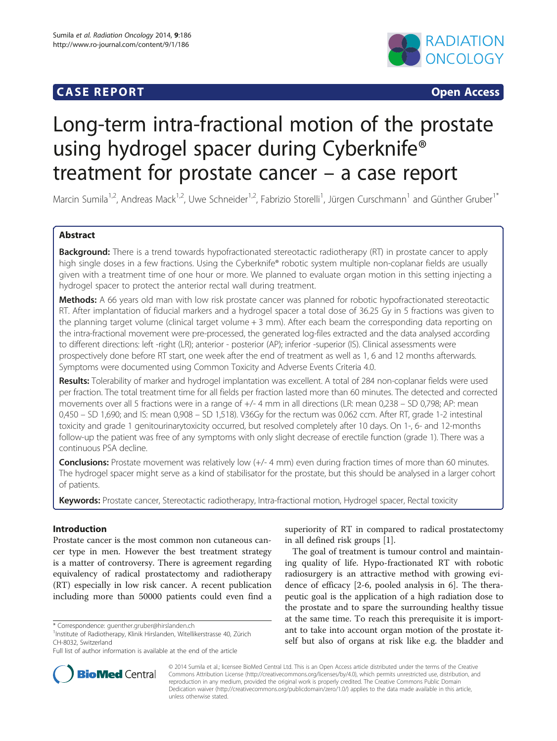## **CASE REPORT CASE REPORT CASE REPORT**



# Long-term intra-fractional motion of the prostate using hydrogel spacer during Cyberknife® treatment for prostate cancer – a case report

Marcin Sumila<sup>1,2</sup>, Andreas Mack<sup>1,2</sup>, Uwe Schneider<sup>1,2</sup>, Fabrizio Storelli<sup>1</sup>, Jürgen Curschmann<sup>1</sup> and Günther Gruber<sup>1\*</sup>

## Abstract

**Background:** There is a trend towards hypofractionated stereotactic radiotherapy (RT) in prostate cancer to apply high single doses in a few fractions. Using the Cyberknife® robotic system multiple non-coplanar fields are usually given with a treatment time of one hour or more. We planned to evaluate organ motion in this setting injecting a hydrogel spacer to protect the anterior rectal wall during treatment.

Methods: A 66 years old man with low risk prostate cancer was planned for robotic hypofractionated stereotactic RT. After implantation of fiducial markers and a hydrogel spacer a total dose of 36.25 Gy in 5 fractions was given to the planning target volume (clinical target volume + 3 mm). After each beam the corresponding data reporting on the intra-fractional movement were pre-processed, the generated log-files extracted and the data analysed according to different directions: left -right (LR); anterior - posterior (AP); inferior -superior (IS). Clinical assessments were prospectively done before RT start, one week after the end of treatment as well as 1, 6 and 12 months afterwards. Symptoms were documented using Common Toxicity and Adverse Events Criteria 4.0.

Results: Tolerability of marker and hydrogel implantation was excellent. A total of 284 non-coplanar fields were used per fraction. The total treatment time for all fields per fraction lasted more than 60 minutes. The detected and corrected movements over all 5 fractions were in a range of +/- 4 mm in all directions (LR: mean 0,238 – SD 0,798; AP: mean 0,450 – SD 1,690; and IS: mean 0,908 – SD 1,518). V36Gy for the rectum was 0.062 ccm. After RT, grade 1-2 intestinal toxicity and grade 1 genitourinarytoxicity occurred, but resolved completely after 10 days. On 1-, 6- and 12-months follow-up the patient was free of any symptoms with only slight decrease of erectile function (grade 1). There was a continuous PSA decline.

Conclusions: Prostate movement was relatively low (+/- 4 mm) even during fraction times of more than 60 minutes. The hydrogel spacer might serve as a kind of stabilisator for the prostate, but this should be analysed in a larger cohort of patients.

Keywords: Prostate cancer, Stereotactic radiotherapy, Intra-fractional motion, Hydrogel spacer, Rectal toxicity

## Introduction

Prostate cancer is the most common non cutaneous cancer type in men. However the best treatment strategy is a matter of controversy. There is agreement regarding equivalency of radical prostatectomy and radiotherapy (RT) especially in low risk cancer. A recent publication including more than 50000 patients could even find a

<sup>1</sup>Institute of Radiotherapy, Klinik Hirslanden, Witellikerstrasse 40, Zürich CH-8032, Switzerland



The goal of treatment is tumour control and maintaining quality of life. Hypo-fractionated RT with robotic radiosurgery is an attractive method with growing evidence of efficacy [[2-](#page-4-0)[6](#page-5-0), pooled analysis in [6\]](#page-5-0). The therapeutic goal is the application of a high radiation dose to the prostate and to spare the surrounding healthy tissue at the same time. To reach this prerequisite it is important to take into account organ motion of the prostate itself but also of organs at risk like e.g. the bladder and



© 2014 Sumila et al.; licensee BioMed Central Ltd. This is an Open Access article distributed under the terms of the Creative Commons Attribution License [\(http://creativecommons.org/licenses/by/4.0\)](http://creativecommons.org/licenses/by/4.0), which permits unrestricted use, distribution, and reproduction in any medium, provided the original work is properly credited. The Creative Commons Public Domain Dedication waiver [\(http://creativecommons.org/publicdomain/zero/1.0/](http://creativecommons.org/publicdomain/zero/1.0/)) applies to the data made available in this article, unless otherwise stated.

<sup>\*</sup> Correspondence: [guenther.gruber@hirslanden.ch](mailto:guenther.gruber@hirslanden.ch) <sup>1</sup>

Full list of author information is available at the end of the article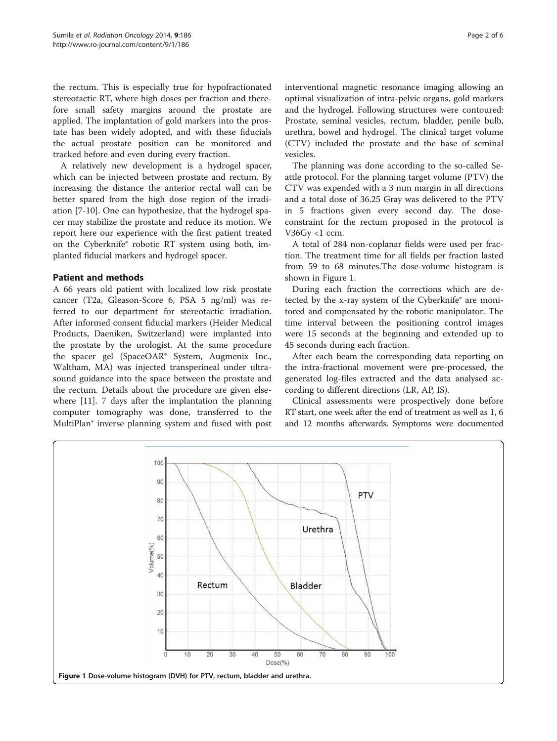the rectum. This is especially true for hypofractionated stereotactic RT, where high doses per fraction and therefore small safety margins around the prostate are applied. The implantation of gold markers into the prostate has been widely adopted, and with these fiducials the actual prostate position can be monitored and tracked before and even during every fraction.

A relatively new development is a hydrogel spacer, which can be injected between prostate and rectum. By increasing the distance the anterior rectal wall can be better spared from the high dose region of the irradiation [\[7](#page-5-0)-[10\]](#page-5-0). One can hypothesize, that the hydrogel spacer may stabilize the prostate and reduce its motion. We report here our experience with the first patient treated on the Cyberknife® robotic RT system using both, implanted fiducial markers and hydrogel spacer.

## Patient and methods

A 66 years old patient with localized low risk prostate cancer (T2a, Gleason-Score 6, PSA 5 ng/ml) was referred to our department for stereotactic irradiation. After informed consent fiducial markers (Heider Medical Products, Daeniken, Switzerland) were implanted into the prostate by the urologist. At the same procedure the spacer gel (SpaceOAR® System, Augmenix Inc., Waltham, MA) was injected transperineal under ultrasound guidance into the space between the prostate and the rectum. Details about the procedure are given elsewhere [[11\]](#page-5-0). 7 days after the implantation the planning computer tomography was done, transferred to the MultiPlan® inverse planning system and fused with post interventional magnetic resonance imaging allowing an optimal visualization of intra-pelvic organs, gold markers and the hydrogel. Following structures were contoured: Prostate, seminal vesicles, rectum, bladder, penile bulb, urethra, bowel and hydrogel. The clinical target volume (CTV) included the prostate and the base of seminal vesicles.

The planning was done according to the so-called Seattle protocol. For the planning target volume (PTV) the CTV was expended with a 3 mm margin in all directions and a total dose of 36.25 Gray was delivered to the PTV in 5 fractions given every second day. The doseconstraint for the rectum proposed in the protocol is V36Gy <1 ccm.

A total of 284 non-coplanar fields were used per fraction. The treatment time for all fields per fraction lasted from 59 to 68 minutes.The dose-volume histogram is shown in Figure 1.

During each fraction the corrections which are detected by the x-ray system of the Cyberknife® are monitored and compensated by the robotic manipulator. The time interval between the positioning control images were 15 seconds at the beginning and extended up to 45 seconds during each fraction.

After each beam the corresponding data reporting on the intra-fractional movement were pre-processed, the generated log-files extracted and the data analysed according to different directions (LR, AP, IS).

Clinical assessments were prospectively done before RT start, one week after the end of treatment as well as 1, 6 and 12 months afterwards. Symptoms were documented

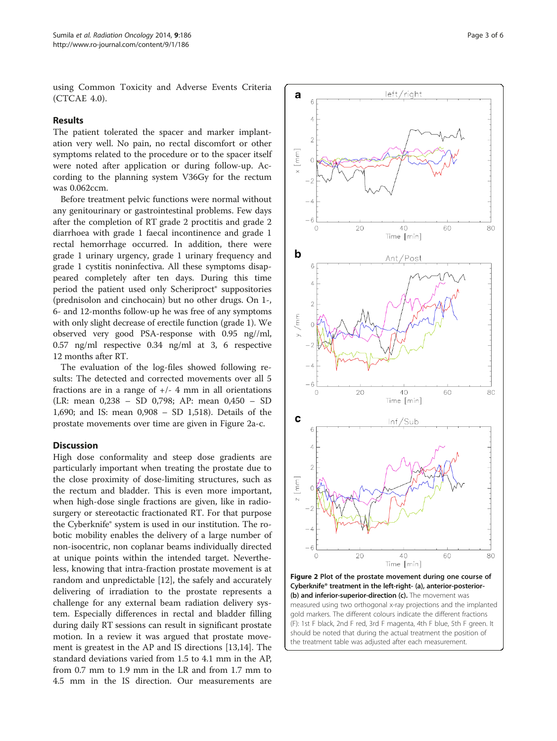using Common Toxicity and Adverse Events Criteria (CTCAE 4.0).

#### Results

The patient tolerated the spacer and marker implantation very well. No pain, no rectal discomfort or other symptoms related to the procedure or to the spacer itself were noted after application or during follow-up. According to the planning system V36Gy for the rectum was 0.062ccm.

Before treatment pelvic functions were normal without any genitourinary or gastrointestinal problems. Few days after the completion of RT grade 2 proctitis and grade 2 diarrhoea with grade 1 faecal incontinence and grade 1 rectal hemorrhage occurred. In addition, there were grade 1 urinary urgency, grade 1 urinary frequency and grade 1 cystitis noninfectiva. All these symptoms disappeared completely after ten days. During this time period the patient used only Scheriproct® suppositories (prednisolon and cinchocain) but no other drugs. On 1-, 6- and 12-months follow-up he was free of any symptoms with only slight decrease of erectile function (grade 1). We observed very good PSA-response with 0.95 ng//ml, 0.57 ng/ml respective 0.34 ng/ml at 3, 6 respective 12 months after RT.

The evaluation of the log-files showed following results: The detected and corrected movements over all 5 fractions are in a range of  $+/-$  4 mm in all orientations (LR: mean 0,238 – SD 0,798; AP: mean 0,450 – SD 1,690; and IS: mean 0,908 – SD 1,518). Details of the prostate movements over time are given in Figure 2a-c.

### **Discussion**

High dose conformality and steep dose gradients are particularly important when treating the prostate due to the close proximity of dose-limiting structures, such as the rectum and bladder. This is even more important, when high-dose single fractions are given, like in radiosurgery or stereotactic fractionated RT. For that purpose the Cyberknife® system is used in our institution. The robotic mobility enables the delivery of a large number of non-isocentric, non coplanar beams individually directed at unique points within the intended target. Nevertheless, knowing that intra-fraction prostate movement is at random and unpredictable [[12\]](#page-5-0), the safely and accurately delivering of irradiation to the prostate represents a challenge for any external beam radiation delivery system. Especially differences in rectal and bladder filling during daily RT sessions can result in significant prostate motion. In a review it was argued that prostate movement is greatest in the AP and IS directions [\[13,14\]](#page-5-0). The standard deviations varied from 1.5 to 4.1 mm in the AP, from 0.7 mm to 1.9 mm in the LR and from 1.7 mm to 4.5 mm in the IS direction. Our measurements are



Cyberknife® treatment in the left-right- (a), anterior-posterior- (b) and inferior-superior-direction (c). The movement was measured using two orthogonal x-ray projections and the implanted gold markers. The different colours indicate the different fractions (F): 1st F black, 2nd F red, 3rd F magenta, 4th F blue, 5th F green. It should be noted that during the actual treatment the position of the treatment table was adjusted after each measurement.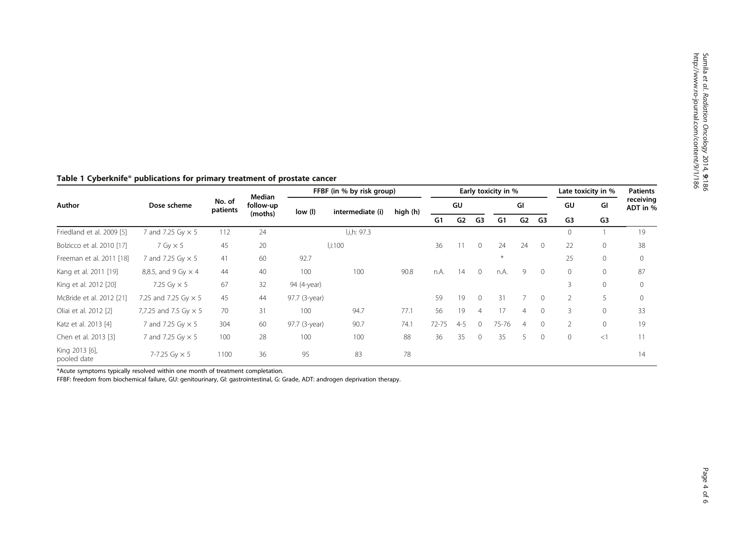| Author                        | Dose scheme                  | No. of<br>patients | Median<br>follow-up<br>(moths) | FFBF (in % by risk group) |                  |          | Early toxicity in % |         |                |               |    |                | Late toxicity in % |                | <b>Patients</b>       |
|-------------------------------|------------------------------|--------------------|--------------------------------|---------------------------|------------------|----------|---------------------|---------|----------------|---------------|----|----------------|--------------------|----------------|-----------------------|
|                               |                              |                    |                                | low (l)                   | intermediate (i) | high (h) | GU                  |         |                | GI            |    |                | GU                 | GI             | receiving<br>ADT in % |
|                               |                              |                    |                                |                           |                  |          | G1                  | G2      | G3             | G1            | G2 | G3             | G <sub>3</sub>     | G <sub>3</sub> |                       |
| Friedland et al. 2009 [5]     | 7 and 7.25 Gy $\times$ 5     | 112                | 24                             |                           | l,i,h: 97.3      |          |                     |         |                |               |    |                | $\circ$            |                | 19                    |
| Bolzicco et al. 2010 [17]     | $7$ Gy $\times$ 5            | 45                 | 20                             |                           | l.i:100          |          | 36                  | 11      | $\mathbf{0}$   | 24            | 24 | $\overline{0}$ | 22                 | $\mathbf{0}$   | 38                    |
| Freeman et al. 2011 [18]      | 7 and 7.25 Gy × 5            | 41                 | 60                             | 92.7                      |                  |          |                     |         |                | $\frac{1}{N}$ |    |                | 25                 | $\mathbf{0}$   | $\Omega$              |
| Kang et al. 2011 [19]         | 8,8.5, and 9 Gy $\times$ 4   | 44                 | 40                             | 100                       | 100              | 90.8     | n.A.                | 14      | $\Omega$       | n.A.          | 9  | $\Omega$       | $\circ$            | $\mathbf{0}$   | 87                    |
| King et al. 2012 [20]         | 7.25 Gy $\times$ 5           | 67                 | 32                             | 94 (4-year)               |                  |          |                     |         |                |               |    |                | 3                  | $\mathbf{0}$   |                       |
| McBride et al. 2012 [21]      | 7.25 and 7.25 Gy $\times$ 5  | 45                 | 44                             | 97.7 (3-year)             |                  |          | 59                  | 19      | $\Omega$       | 31            |    | $\Omega$       | $\overline{2}$     |                | $\Omega$              |
| Oliai et al. 2012 [2]         | 7,7.25 and 7.5 Gy $\times$ 5 | 70                 | 31                             | 100                       | 94.7             | 77.1     | 56                  | 19      | $\overline{4}$ | 17            | 4  | $\Omega$       | 3                  | $\mathbf{0}$   | 33                    |
| Katz et al. 2013 [4]          | 7 and 7.25 Gy × 5            | 304                | 60                             | 97.7 (3-year)             | 90.7             | 74.1     | $72 - 75$           | $4 - 5$ | $\Omega$       | 75-76         | 4  | $\Omega$       | $\overline{2}$     | $\mathbf{0}$   | 19                    |
| Chen et al. 2013 [3]          | 7 and 7.25 Gy × 5            | 100                | 28                             | 100                       | 100              | 88       | 36                  | 35      | $\overline{0}$ | 35            | 5  | $\Omega$       | $\mathbf{0}$       | <1             | 11                    |
| King 2013 [6],<br>pooled date | 7-7.25 Gy $\times$ 5         | 1100               | 36                             | 95                        | 83               | 78       |                     |         |                |               |    |                |                    |                | 14                    |

#### <span id="page-3-0"></span>Table 1 Cyberknife® publications for primary treatment of prostate cancer

\*Acute symptoms typically resolved within one month of treatment completation.

FFBF: freedom from biochemical failure, GU: genitourinary, GI: gastrointestinal, G: Grade, ADT: androgen deprivation therapy.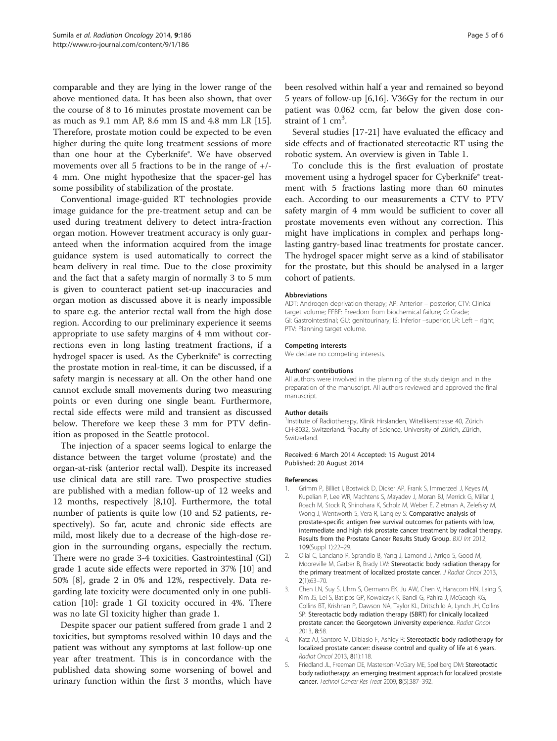<span id="page-4-0"></span>comparable and they are lying in the lower range of the above mentioned data. It has been also shown, that over the course of 8 to 16 minutes prostate movement can be as much as 9.1 mm AP, 8.6 mm IS and 4.8 mm LR [\[15](#page-5-0)]. Therefore, prostate motion could be expected to be even higher during the quite long treatment sessions of more than one hour at the Cyberknife®. We have observed movements over all 5 fractions to be in the range of  $+/-$ 4 mm. One might hypothesize that the spacer-gel has some possibility of stabilization of the prostate.

Conventional image-guided RT technologies provide image guidance for the pre-treatment setup and can be used during treatment delivery to detect intra-fraction organ motion. However treatment accuracy is only guaranteed when the information acquired from the image guidance system is used automatically to correct the beam delivery in real time. Due to the close proximity and the fact that a safety margin of normally 3 to 5 mm is given to counteract patient set-up inaccuracies and organ motion as discussed above it is nearly impossible to spare e.g. the anterior rectal wall from the high dose region. According to our preliminary experience it seems appropriate to use safety margins of 4 mm without corrections even in long lasting treatment fractions, if a hydrogel spacer is used. As the Cyberknife® is correcting the prostate motion in real-time, it can be discussed, if a safety margin is necessary at all. On the other hand one cannot exclude small movements during two measuring points or even during one single beam. Furthermore, rectal side effects were mild and transient as discussed below. Therefore we keep these 3 mm for PTV definition as proposed in the Seattle protocol.

The injection of a spacer seems logical to enlarge the distance between the target volume (prostate) and the organ-at-risk (anterior rectal wall). Despite its increased use clinical data are still rare. Two prospective studies are published with a median follow-up of 12 weeks and 12 months, respectively [[8,10\]](#page-5-0). Furthermore, the total number of patients is quite low (10 and 52 patients, respectively). So far, acute and chronic side effects are mild, most likely due to a decrease of the high-dose region in the surrounding organs, especially the rectum. There were no grade 3-4 toxicities. Gastrointestinal (GI) grade 1 acute side effects were reported in 37% [\[10](#page-5-0)] and 50% [[8\]](#page-5-0), grade 2 in 0% and 12%, respectively. Data regarding late toxicity were documented only in one publication [[10\]](#page-5-0): grade 1 GI toxicity occured in 4%. There was no late GI toxicity higher than grade 1.

Despite spacer our patient suffered from grade 1 and 2 toxicities, but symptoms resolved within 10 days and the patient was without any symptoms at last follow-up one year after treatment. This is in concordance with the published data showing some worsening of bowel and urinary function within the first 3 months, which have been resolved within half a year and remained so beyond 5 years of follow-up [\[6,16](#page-5-0)]. V36Gy for the rectum in our patient was 0.062 ccm, far below the given dose constraint of 1 cm<sup>3</sup>.

Several studies [[17-21](#page-5-0)] have evaluated the efficacy and side effects and of fractionated stereotactic RT using the robotic system. An overview is given in Table [1.](#page-3-0)

To conclude this is the first evaluation of prostate movement using a hydrogel spacer for Cyberknife® treatment with 5 fractions lasting more than 60 minutes each. According to our measurements a CTV to PTV safety margin of 4 mm would be sufficient to cover all prostate movements even without any correction. This might have implications in complex and perhaps longlasting gantry-based linac treatments for prostate cancer. The hydrogel spacer might serve as a kind of stabilisator for the prostate, but this should be analysed in a larger cohort of patients.

#### Abbreviations

ADT: Androgen deprivation therapy; AP: Anterior – posterior; CTV: Clinical target volume; FFBF: Freedom from biochemical failure; G: Grade; GI: Gastrointestinal; GU: genitourinary; IS: Inferior –superior; LR: Left – right; PTV: Planning target volume.

#### Competing interests

We declare no competing interests.

#### Authors' contributions

All authors were involved in the planning of the study design and in the preparation of the manuscript. All authors reviewed and approved the final manuscript.

#### Author details

<sup>1</sup>Institute of Radiotherapy, Klinik Hirslanden, Witellikerstrasse 40, Zürich CH-8032, Switzerland. <sup>2</sup> Faculty of Science, University of Zürich, Zürich, Switzerland.

Received: 6 March 2014 Accepted: 15 August 2014 Published: 20 August 2014

#### References

- 1. Grimm P, Billiet I, Bostwick D, Dicker AP, Frank S, Immerzeel J, Keyes M, Kupelian P, Lee WR, Machtens S, Mayadev J, Moran BJ, Merrick G, Millar J, Roach M, Stock R, Shinohara K, Scholz M, Weber E, Zietman A, Zelefsky M, Wong J, Wentworth S, Vera R, Langley S: Comparative analysis of prostate-specific antigen free survival outcomes for patients with low, intermediate and high risk prostate cancer treatment by radical therapy. Results from the Prostate Cancer Results Study Group. BJU Int 2012, 109(Suppl 1):22–29.
- 2. Oliai C, Lanciano R, Sprandio B, Yang J, Lamond J, Arrigo S, Good M, Mooreville M, Garber B, Brady LW: Stereotactic body radiation therapy for the primary treatment of localized prostate cancer. J Radiat Oncol 2013, 2(1):63–70.
- 3. Chen LN, Suy S, Uhm S, Oermann EK, Ju AW, Chen V, Hanscom HN, Laing S, Kim JS, Lei S, Batipps GP, Kowalczyk K, Bandi G, Pahira J, McGeagh KG, Collins BT, Krishnan P, Dawson NA, Taylor KL, Dritschilo A, Lynch JH, Collins SP: Stereotactic body radiation therapy (SBRT) for clinically localized prostate cancer: the Georgetown University experience. Radiat Oncol 2013, 8:58.
- 4. Katz AJ, Santoro M, Diblasio F, Ashley R: Stereotactic body radiotherapy for localized prostate cancer: disease control and quality of life at 6 years. Radiat Oncol 2013, 8(1):118.
- 5. Friedland JL, Freeman DE, Masterson-McGary ME, Spellberg DM: Stereotactic body radiotherapy: an emerging treatment approach for localized prostate cancer. Technol Cancer Res Treat 2009, 8(5):387–392.